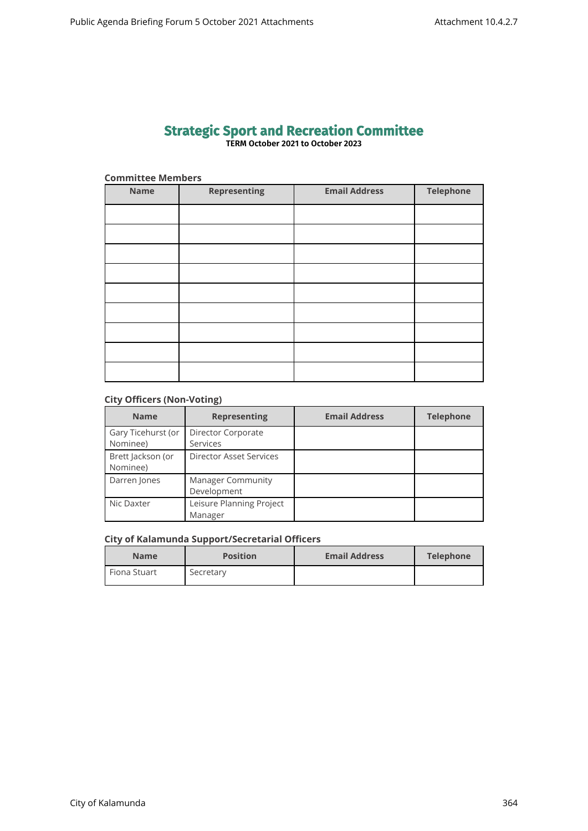# **Strategic Sport and Recreation Committee TERM October 2021 to October 2023**

| <b>Committee Members</b> |                     |                      |                  |  |  |
|--------------------------|---------------------|----------------------|------------------|--|--|
| <b>Name</b>              | <b>Representing</b> | <b>Email Address</b> | <b>Telephone</b> |  |  |
|                          |                     |                      |                  |  |  |
|                          |                     |                      |                  |  |  |
|                          |                     |                      |                  |  |  |
|                          |                     |                      |                  |  |  |
|                          |                     |                      |                  |  |  |
|                          |                     |                      |                  |  |  |
|                          |                     |                      |                  |  |  |
|                          |                     |                      |                  |  |  |
|                          |                     |                      |                  |  |  |

# **City Officers (Non-Voting)**

| <b>Name</b>                    | <b>Representing</b>                     | <b>Email Address</b> | <b>Telephone</b> |
|--------------------------------|-----------------------------------------|----------------------|------------------|
| Gary Ticehurst (or<br>Nominee) | Director Corporate<br><b>Services</b>   |                      |                  |
| Brett Jackson (or<br>Nominee)  | <b>Director Asset Services</b>          |                      |                  |
| Darren Jones                   | <b>Manager Community</b><br>Development |                      |                  |
| Nic Daxter                     | Leisure Planning Project<br>Manager     |                      |                  |

# **City of Kalamunda Support/Secretarial Officers**

| <b>Name</b>    | <b>Position</b> | <b>Email Address</b> | Telephone |
|----------------|-----------------|----------------------|-----------|
| l Fiona Stuart | Secretary       |                      |           |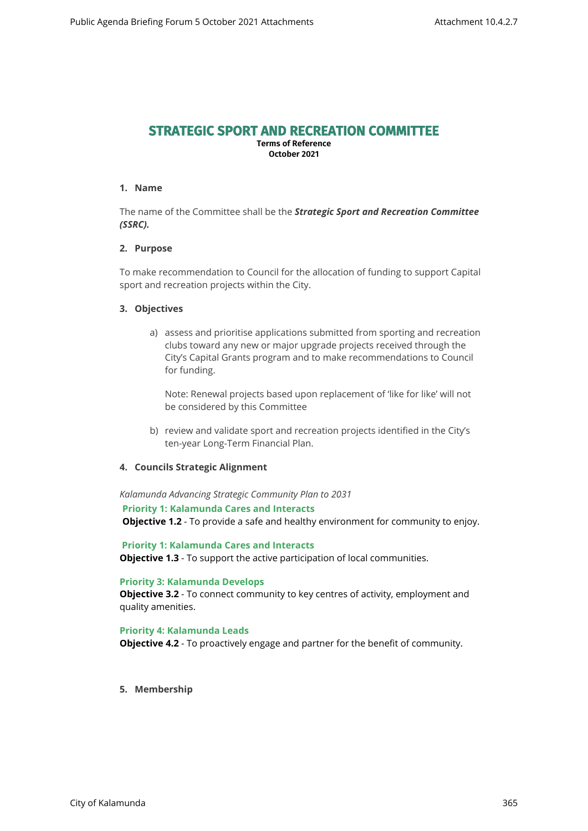# **STRATEGIC SPORT AND RECREATION COMMITTEE**

**Terms of Reference October 2021**

## **1. Name**

The name of the Committee shall be the *Strategic Sport and Recreation Committee (SSRC).*

# **2. Purpose**

To make recommendation to Council for the allocation of funding to support Capital sport and recreation projects within the City.

#### **3. Objectives**

a) assess and prioritise applications submitted from sporting and recreation clubs toward any new or major upgrade projects received through the City's Capital Grants program and to make recommendations to Council for funding.

Note: Renewal projects based upon replacement of 'like for like' will not be considered by this Committee

b) review and validate sport and recreation projects identified in the City's ten-year Long-Term Financial Plan.

#### **4. Councils Strategic Alignment**

*Kalamunda Advancing Strategic Community Plan to 2031* 

**Priority 1: Kalamunda Cares and Interacts**

**Objective 1.2** - To provide a safe and healthy environment for community to enjoy.

 **Priority 1: Kalamunda Cares and Interacts Objective 1.3** - To support the active participation of local communities.

#### **Priority 3: Kalamunda Develops**

**Objective 3.2** - To connect community to key centres of activity, employment and quality amenities.

#### **Priority 4: Kalamunda Leads**

**Objective 4.2** - To proactively engage and partner for the benefit of community.

**5. Membership**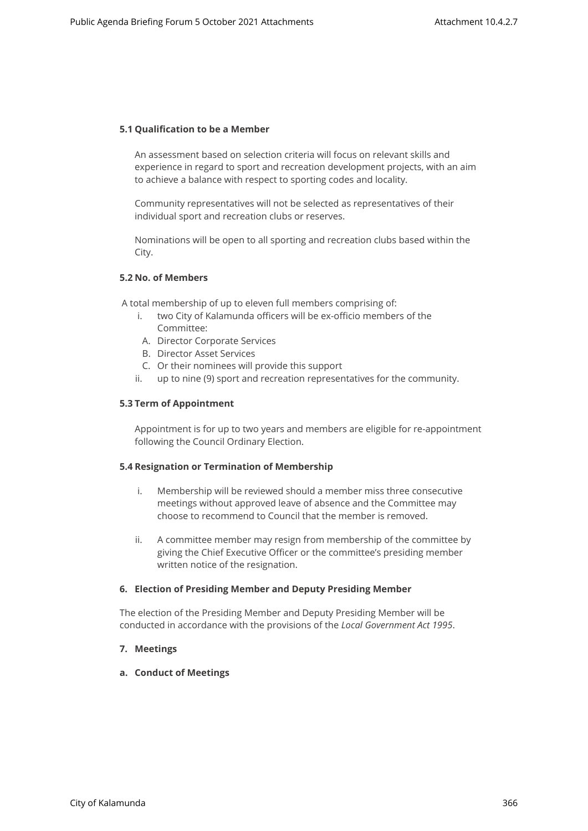## **5.1 Qualification to be a Member**

An assessment based on selection criteria will focus on relevant skills and experience in regard to sport and recreation development projects, with an aim to achieve a balance with respect to sporting codes and locality.

Community representatives will not be selected as representatives of their individual sport and recreation clubs or reserves.

Nominations will be open to all sporting and recreation clubs based within the City.

### **5.2 No. of Members**

A total membership of up to eleven full members comprising of:

- i. two City of Kalamunda officers will be ex-officio members of the Committee:
- A. Director Corporate Services
- B. Director Asset Services
- C. Or their nominees will provide this support
- ii. up to nine (9) sport and recreation representatives for the community.

#### **5.3 Term of Appointment**

Appointment is for up to two years and members are eligible for re-appointment following the Council Ordinary Election.

#### **5.4 Resignation or Termination of Membership**

- i. Membership will be reviewed should a member miss three consecutive meetings without approved leave of absence and the Committee may choose to recommend to Council that the member is removed.
- ii. A committee member may resign from membership of the committee by giving the Chief Executive Officer or the committee's presiding member written notice of the resignation.

#### **6. Election of Presiding Member and Deputy Presiding Member**

The election of the Presiding Member and Deputy Presiding Member will be conducted in accordance with the provisions of the *Local Government Act 1995*.

# **7. Meetings**

**a. Conduct of Meetings**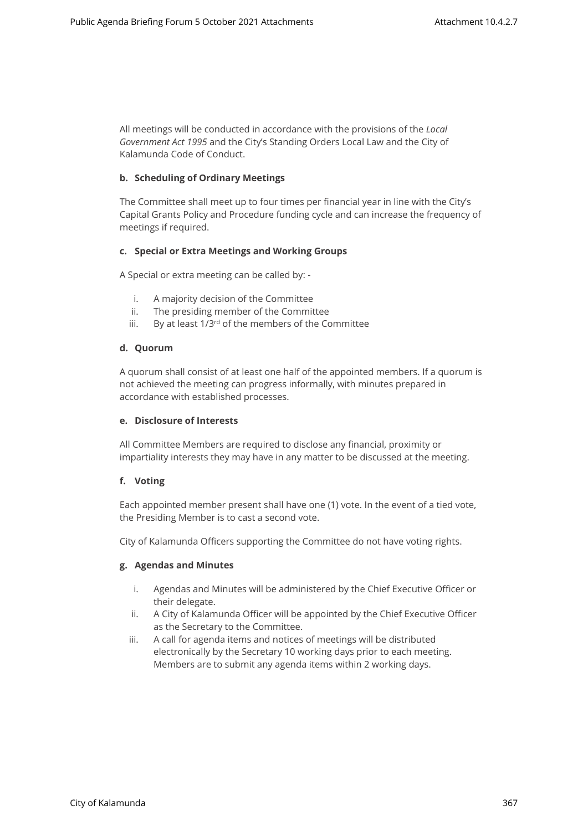All meetings will be conducted in accordance with the provisions of the *Local Government Act 1995* and the City's Standing Orders Local Law and the City of Kalamunda Code of Conduct.

# **b. Scheduling of Ordinary Meetings**

The Committee shall meet up to four times per financial year in line with the City's Capital Grants Policy and Procedure funding cycle and can increase the frequency of meetings if required.

#### **c. Special or Extra Meetings and Working Groups**

A Special or extra meeting can be called by: -

- i. A majority decision of the Committee
- ii. The presiding member of the Committee
- iii. By at least 1/3rd of the members of the Committee

#### **d. Quorum**

A quorum shall consist of at least one half of the appointed members. If a quorum is not achieved the meeting can progress informally, with minutes prepared in accordance with established processes.

#### **e. Disclosure of Interests**

All Committee Members are required to disclose any financial, proximity or impartiality interests they may have in any matter to be discussed at the meeting.

# **f. Voting**

Each appointed member present shall have one (1) vote. In the event of a tied vote, the Presiding Member is to cast a second vote.

City of Kalamunda Officers supporting the Committee do not have voting rights.

# **g. Agendas and Minutes**

- i. Agendas and Minutes will be administered by the Chief Executive Officer or their delegate.
- ii. A City of Kalamunda Officer will be appointed by the Chief Executive Officer as the Secretary to the Committee.
- iii. A call for agenda items and notices of meetings will be distributed electronically by the Secretary 10 working days prior to each meeting. Members are to submit any agenda items within 2 working days.